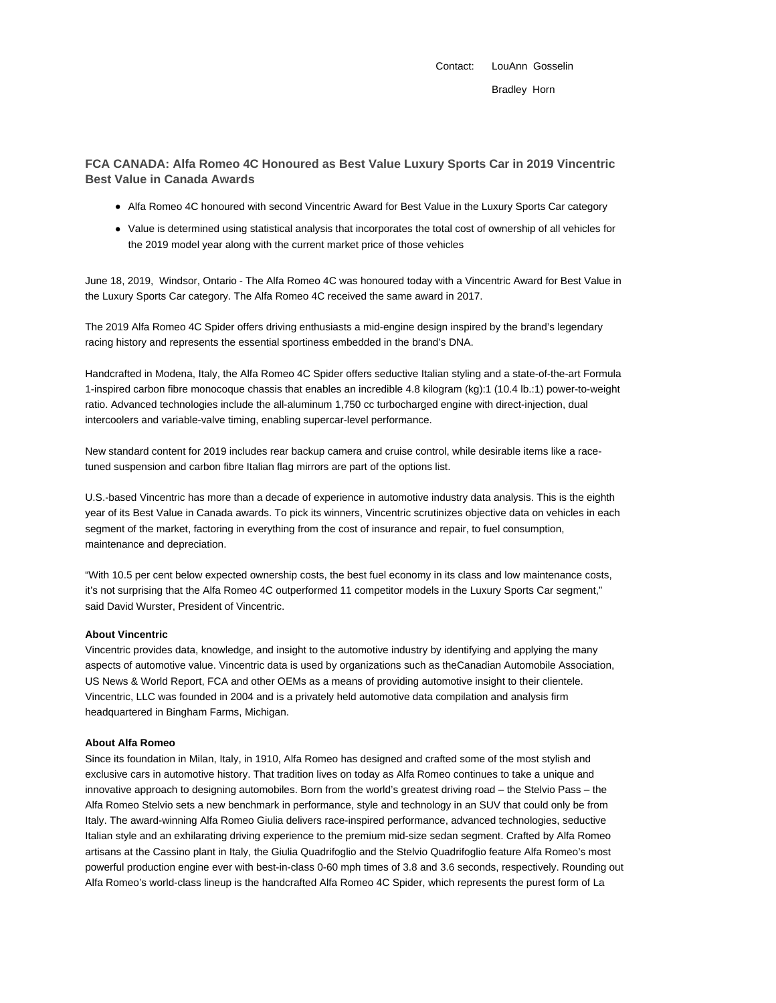Contact: LouAnn Gosselin Bradley Horn

**FCA CANADA: Alfa Romeo 4C Honoured as Best Value Luxury Sports Car in 2019 Vincentric Best Value in Canada Awards**

- Alfa Romeo 4C honoured with second Vincentric Award for Best Value in the Luxury Sports Car category
- Value is determined using statistical analysis that incorporates the total cost of ownership of all vehicles for the 2019 model year along with the current market price of those vehicles

June 18, 2019, Windsor, Ontario - The Alfa Romeo 4C was honoured today with a Vincentric Award for Best Value in the Luxury Sports Car category. The Alfa Romeo 4C received the same award in 2017.

The 2019 Alfa Romeo 4C Spider offers driving enthusiasts a mid-engine design inspired by the brand's legendary racing history and represents the essential sportiness embedded in the brand's DNA.

Handcrafted in Modena, Italy, the Alfa Romeo 4C Spider offers seductive Italian styling and a state-of-the-art Formula 1-inspired carbon fibre monocoque chassis that enables an incredible 4.8 kilogram (kg):1 (10.4 lb.:1) power-to-weight ratio. Advanced technologies include the all-aluminum 1,750 cc turbocharged engine with direct-injection, dual intercoolers and variable-valve timing, enabling supercar-level performance.

New standard content for 2019 includes rear backup camera and cruise control, while desirable items like a racetuned suspension and carbon fibre Italian flag mirrors are part of the options list.

U.S.-based Vincentric has more than a decade of experience in automotive industry data analysis. This is the eighth year of its Best Value in Canada awards. To pick its winners, Vincentric scrutinizes objective data on vehicles in each segment of the market, factoring in everything from the cost of insurance and repair, to fuel consumption, maintenance and depreciation.

"With 10.5 per cent below expected ownership costs, the best fuel economy in its class and low maintenance costs, it's not surprising that the Alfa Romeo 4C outperformed 11 competitor models in the Luxury Sports Car segment," said David Wurster, President of Vincentric.

## **About Vincentric**

Vincentric provides data, knowledge, and insight to the automotive industry by identifying and applying the many aspects of automotive value. Vincentric data is used by organizations such as theCanadian Automobile Association, US News & World Report, FCA and other OEMs as a means of providing automotive insight to their clientele. Vincentric, LLC was founded in 2004 and is a privately held automotive data compilation and analysis firm headquartered in Bingham Farms, Michigan.

## **About Alfa Romeo**

Since its foundation in Milan, Italy, in 1910, Alfa Romeo has designed and crafted some of the most stylish and exclusive cars in automotive history. That tradition lives on today as Alfa Romeo continues to take a unique and innovative approach to designing automobiles. Born from the world's greatest driving road – the Stelvio Pass – the Alfa Romeo Stelvio sets a new benchmark in performance, style and technology in an SUV that could only be from Italy. The award-winning Alfa Romeo Giulia delivers race-inspired performance, advanced technologies, seductive Italian style and an exhilarating driving experience to the premium mid-size sedan segment. Crafted by Alfa Romeo artisans at the Cassino plant in Italy, the Giulia Quadrifoglio and the Stelvio Quadrifoglio feature Alfa Romeo's most powerful production engine ever with best-in-class 0-60 mph times of 3.8 and 3.6 seconds, respectively. Rounding out Alfa Romeo's world-class lineup is the handcrafted Alfa Romeo 4C Spider, which represents the purest form of La